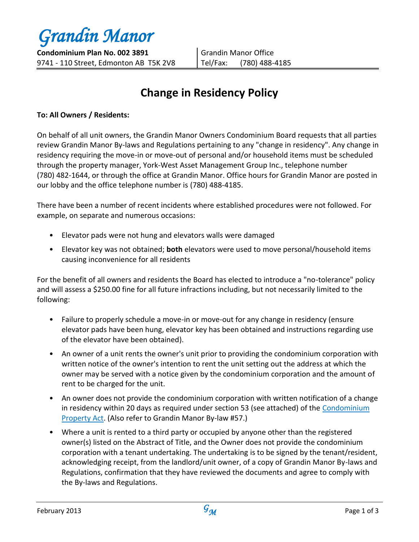*Grandin Manor*

# **Change in Residency Policy**

### **To: All Owners / Residents:**

On behalf of all unit owners, the Grandin Manor Owners Condominium Board requests that all parties review Grandin Manor By-laws and Regulations pertaining to any "change in residency". Any change in residency requiring the move-in or move-out of personal and/or household items must be scheduled through the property manager, York-West Asset Management Group Inc., telephone number (780) 482-1644, or through the office at Grandin Manor. Office hours for Grandin Manor are posted in our lobby and the office telephone number is (780) 488-4185.

There have been a number of recent incidents where established procedures were not followed. For example, on separate and numerous occasions:

- Elevator pads were not hung and elevators walls were damaged
- Elevator key was not obtained; **both** elevators were used to move personal/household items causing inconvenience for all residents

For the benefit of all owners and residents the Board has elected to introduce a "no-tolerance" policy and will assess a \$250.00 fine for all future infractions including, but not necessarily limited to the following:

- Failure to properly schedule a move-in or move-out for any change in residency (ensure elevator pads have been hung, elevator key has been obtained and instructions regarding use of the elevator have been obtained).
- An owner of a unit rents the owner's unit prior to providing the condominium corporation with written notice of the owner's intention to rent the unit setting out the address at which the owner may be served with a notice given by the condominium corporation and the amount of rent to be charged for the unit.
- An owner does not provide the condominium corporation with written notification of a change in residency within 20 days as required under section 53 (see attached) of the Condominium Property Act. (Also refer to Grandin Manor By-law #57.)
- Where a unit is rented to a third party or occupied by anyone other than the registered owner(s) listed on the Abstract of Title, and the Owner does not provide the condominium corporation with a tenant undertaking. The undertaking is to be signed by the tenant/resident, acknowledging receipt, from the landlord/unit owner, of a copy of Grandin Manor By-laws and Regulations, confirmation that they have reviewed the documents and agree to comply with the By-laws and Regulations.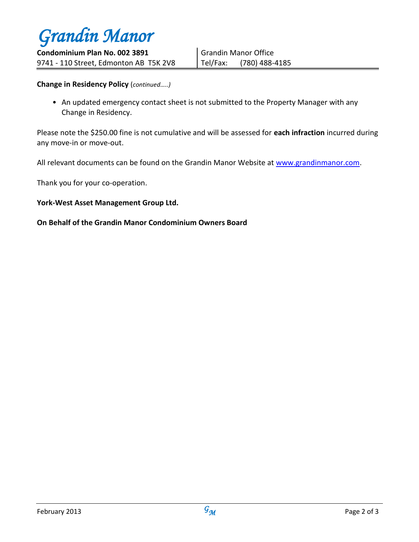

**Change in Residency Policy** (*continued…..)*

• An updated emergency contact sheet is not submitted to the Property Manager with any Change in Residency.

Please note the \$250.00 fine is not cumulative and will be assessed for **each infraction** incurred during any move-in or move-out.

All relevant documents can be found on the Grandin Manor Website at [www.grandinmanor.com.](http://www.grandinmanor.com/)

Thank you for your co-operation.

#### **York-West Asset Management Group Ltd.**

#### **On Behalf of the Grandin Manor Condominium Owners Board**